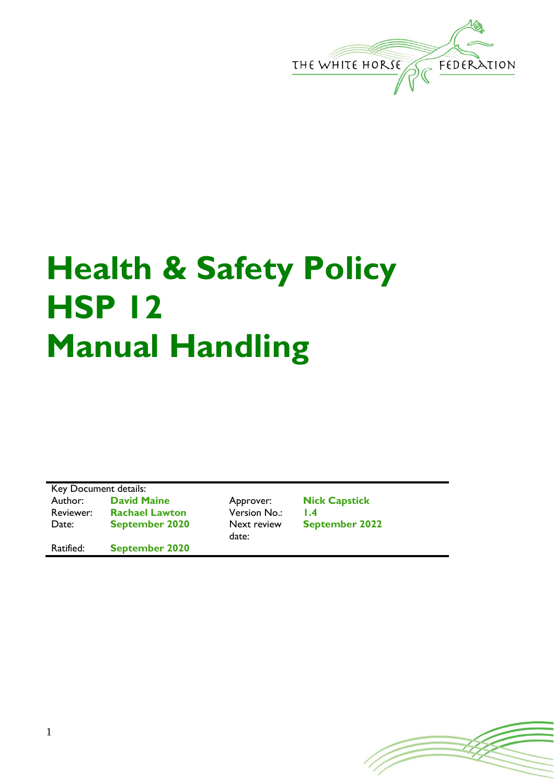

## **Health & Safety Policy HSP 12 Manual Handling**

Key Document details: Author: **David Maine** Approver: **Nick Capstick** Reviewer: **Rachael Lawton** Version No.: 1.4<br>Date: **September 2020** Next review Sep **September 2020** 

Ratified: **September 2020**

date:

**September 2022**

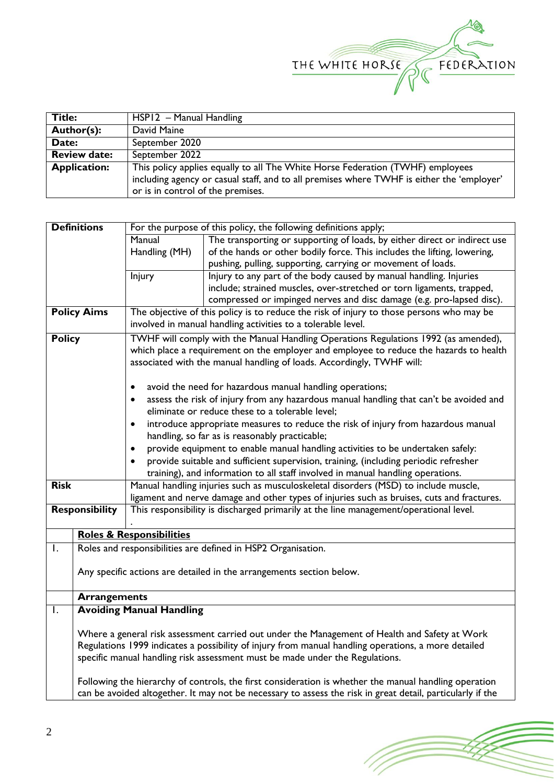

| <b>Title:</b>       | HSP12 - Manual Handling                                                                   |  |  |
|---------------------|-------------------------------------------------------------------------------------------|--|--|
| Author(s):          | David Maine                                                                               |  |  |
| Date:               | September 2020                                                                            |  |  |
| <b>Review date:</b> | September 2022                                                                            |  |  |
| <b>Application:</b> | This policy applies equally to all The White Horse Federation (TWHF) employees            |  |  |
|                     | including agency or casual staff, and to all premises where TWHF is either the 'employer' |  |  |
|                     | or is in control of the premises.                                                         |  |  |

|                       | <b>Definitions</b>                                                                                                                                                                                                  | For the purpose of this policy, the following definitions apply;                              |                                                                                     |  |  |  |  |
|-----------------------|---------------------------------------------------------------------------------------------------------------------------------------------------------------------------------------------------------------------|-----------------------------------------------------------------------------------------------|-------------------------------------------------------------------------------------|--|--|--|--|
|                       |                                                                                                                                                                                                                     | Manual                                                                                        | The transporting or supporting of loads, by either direct or indirect use           |  |  |  |  |
|                       |                                                                                                                                                                                                                     | Handling (MH)                                                                                 | of the hands or other bodily force. This includes the lifting, lowering,            |  |  |  |  |
|                       |                                                                                                                                                                                                                     |                                                                                               | pushing, pulling, supporting, carrying or movement of loads.                        |  |  |  |  |
|                       |                                                                                                                                                                                                                     | <b>Injury</b>                                                                                 | Injury to any part of the body caused by manual handling. Injuries                  |  |  |  |  |
|                       |                                                                                                                                                                                                                     |                                                                                               | include; strained muscles, over-stretched or torn ligaments, trapped,               |  |  |  |  |
|                       |                                                                                                                                                                                                                     |                                                                                               | compressed or impinged nerves and disc damage (e.g. pro-lapsed disc).               |  |  |  |  |
|                       | <b>Policy Aims</b>                                                                                                                                                                                                  | The objective of this policy is to reduce the risk of injury to those persons who may be      |                                                                                     |  |  |  |  |
|                       |                                                                                                                                                                                                                     |                                                                                               | involved in manual handling activities to a tolerable level.                        |  |  |  |  |
| <b>Policy</b>         |                                                                                                                                                                                                                     | TWHF will comply with the Manual Handling Operations Regulations 1992 (as amended),           |                                                                                     |  |  |  |  |
|                       |                                                                                                                                                                                                                     | which place a requirement on the employer and employee to reduce the hazards to health        |                                                                                     |  |  |  |  |
|                       |                                                                                                                                                                                                                     | associated with the manual handling of loads. Accordingly, TWHF will:                         |                                                                                     |  |  |  |  |
|                       |                                                                                                                                                                                                                     |                                                                                               |                                                                                     |  |  |  |  |
|                       |                                                                                                                                                                                                                     | avoid the need for hazardous manual handling operations;<br>$\bullet$                         |                                                                                     |  |  |  |  |
|                       |                                                                                                                                                                                                                     | assess the risk of injury from any hazardous manual handling that can't be avoided and        |                                                                                     |  |  |  |  |
|                       |                                                                                                                                                                                                                     | eliminate or reduce these to a tolerable level;                                               |                                                                                     |  |  |  |  |
|                       |                                                                                                                                                                                                                     | ٠                                                                                             | introduce appropriate measures to reduce the risk of injury from hazardous manual   |  |  |  |  |
|                       |                                                                                                                                                                                                                     | handling, so far as is reasonably practicable;                                                |                                                                                     |  |  |  |  |
|                       |                                                                                                                                                                                                                     | provide equipment to enable manual handling activities to be undertaken safely:<br>٠          |                                                                                     |  |  |  |  |
|                       |                                                                                                                                                                                                                     | provide suitable and sufficient supervision, training, (including periodic refresher          |                                                                                     |  |  |  |  |
|                       |                                                                                                                                                                                                                     |                                                                                               | training), and information to all staff involved in manual handling operations.     |  |  |  |  |
| <b>Risk</b>           |                                                                                                                                                                                                                     |                                                                                               | Manual handling injuries such as musculoskeletal disorders (MSD) to include muscle, |  |  |  |  |
|                       |                                                                                                                                                                                                                     | ligament and nerve damage and other types of injuries such as bruises, cuts and fractures.    |                                                                                     |  |  |  |  |
| <b>Responsibility</b> |                                                                                                                                                                                                                     | This responsibility is discharged primarily at the line management/operational level.         |                                                                                     |  |  |  |  |
|                       |                                                                                                                                                                                                                     |                                                                                               |                                                                                     |  |  |  |  |
|                       |                                                                                                                                                                                                                     | <b>Roles &amp; Responsibilities</b>                                                           |                                                                                     |  |  |  |  |
| Ι.                    | Roles and responsibilities are defined in HSP2 Organisation.                                                                                                                                                        |                                                                                               |                                                                                     |  |  |  |  |
|                       |                                                                                                                                                                                                                     |                                                                                               |                                                                                     |  |  |  |  |
|                       | Any specific actions are detailed in the arrangements section below.                                                                                                                                                |                                                                                               |                                                                                     |  |  |  |  |
|                       |                                                                                                                                                                                                                     |                                                                                               |                                                                                     |  |  |  |  |
|                       | <b>Arrangements</b>                                                                                                                                                                                                 |                                                                                               |                                                                                     |  |  |  |  |
| I.                    |                                                                                                                                                                                                                     | <b>Avoiding Manual Handling</b>                                                               |                                                                                     |  |  |  |  |
|                       |                                                                                                                                                                                                                     |                                                                                               |                                                                                     |  |  |  |  |
|                       |                                                                                                                                                                                                                     | Where a general risk assessment carried out under the Management of Health and Safety at Work |                                                                                     |  |  |  |  |
|                       | Regulations 1999 indicates a possibility of injury from manual handling operations, a more detailed                                                                                                                 |                                                                                               |                                                                                     |  |  |  |  |
|                       | specific manual handling risk assessment must be made under the Regulations.                                                                                                                                        |                                                                                               |                                                                                     |  |  |  |  |
|                       |                                                                                                                                                                                                                     |                                                                                               |                                                                                     |  |  |  |  |
|                       | Following the hierarchy of controls, the first consideration is whether the manual handling operation<br>can be avoided altogether. It may not be necessary to assess the risk in great detail, particularly if the |                                                                                               |                                                                                     |  |  |  |  |
|                       |                                                                                                                                                                                                                     |                                                                                               |                                                                                     |  |  |  |  |

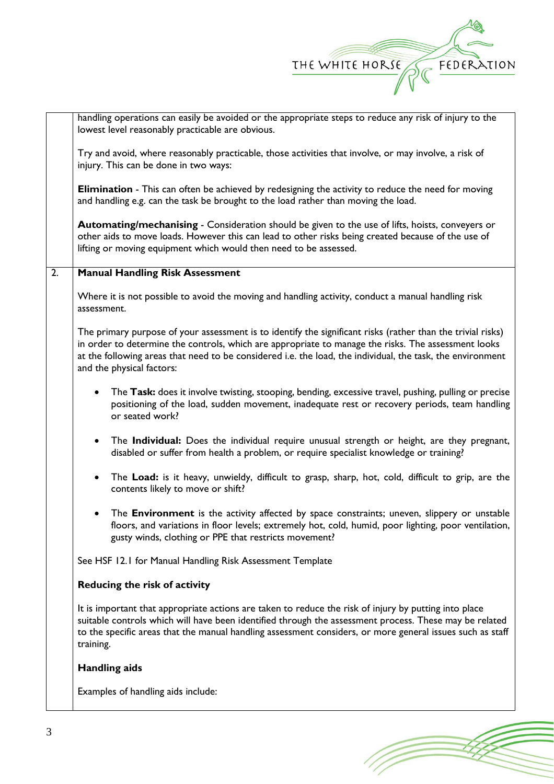

|    | handling operations can easily be avoided or the appropriate steps to reduce any risk of injury to the<br>lowest level reasonably practicable are obvious.                                                                                                                                                                                                    |  |  |  |  |  |  |
|----|---------------------------------------------------------------------------------------------------------------------------------------------------------------------------------------------------------------------------------------------------------------------------------------------------------------------------------------------------------------|--|--|--|--|--|--|
|    | Try and avoid, where reasonably practicable, those activities that involve, or may involve, a risk of<br>injury. This can be done in two ways:                                                                                                                                                                                                                |  |  |  |  |  |  |
|    | <b>Elimination</b> - This can often be achieved by redesigning the activity to reduce the need for moving<br>and handling e.g. can the task be brought to the load rather than moving the load.                                                                                                                                                               |  |  |  |  |  |  |
|    | Automating/mechanising - Consideration should be given to the use of lifts, hoists, conveyers or<br>other aids to move loads. However this can lead to other risks being created because of the use of<br>lifting or moving equipment which would then need to be assessed.                                                                                   |  |  |  |  |  |  |
| 2. | <b>Manual Handling Risk Assessment</b>                                                                                                                                                                                                                                                                                                                        |  |  |  |  |  |  |
|    | Where it is not possible to avoid the moving and handling activity, conduct a manual handling risk<br>assessment.                                                                                                                                                                                                                                             |  |  |  |  |  |  |
|    | The primary purpose of your assessment is to identify the significant risks (rather than the trivial risks)<br>in order to determine the controls, which are appropriate to manage the risks. The assessment looks<br>at the following areas that need to be considered i.e. the load, the individual, the task, the environment<br>and the physical factors: |  |  |  |  |  |  |
|    | The Task: does it involve twisting, stooping, bending, excessive travel, pushing, pulling or precise<br>$\bullet$<br>positioning of the load, sudden movement, inadequate rest or recovery periods, team handling<br>or seated work?                                                                                                                          |  |  |  |  |  |  |
|    | The Individual: Does the individual require unusual strength or height, are they pregnant,<br>$\bullet$<br>disabled or suffer from health a problem, or require specialist knowledge or training?                                                                                                                                                             |  |  |  |  |  |  |
|    | The Load: is it heavy, unwieldy, difficult to grasp, sharp, hot, cold, difficult to grip, are the<br>$\bullet$<br>contents likely to move or shift?                                                                                                                                                                                                           |  |  |  |  |  |  |
|    | The <b>Environment</b> is the activity affected by space constraints; uneven, slippery or unstable<br>$\bullet$<br>floors, and variations in floor levels; extremely hot, cold, humid, poor lighting, poor ventilation,<br>gusty winds, clothing or PPE that restricts movement?                                                                              |  |  |  |  |  |  |
|    | See HSF 12.1 for Manual Handling Risk Assessment Template                                                                                                                                                                                                                                                                                                     |  |  |  |  |  |  |
|    | Reducing the risk of activity                                                                                                                                                                                                                                                                                                                                 |  |  |  |  |  |  |
|    | It is important that appropriate actions are taken to reduce the risk of injury by putting into place<br>suitable controls which will have been identified through the assessment process. These may be related<br>to the specific areas that the manual handling assessment considers, or more general issues such as staff<br>training.                     |  |  |  |  |  |  |
|    | <b>Handling aids</b>                                                                                                                                                                                                                                                                                                                                          |  |  |  |  |  |  |
|    | Examples of handling aids include:                                                                                                                                                                                                                                                                                                                            |  |  |  |  |  |  |

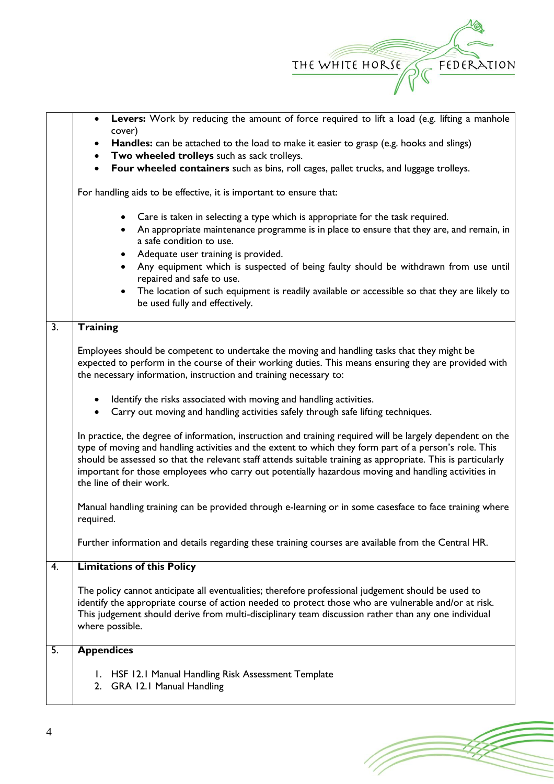

2. GRA 12.1 Manual Handling